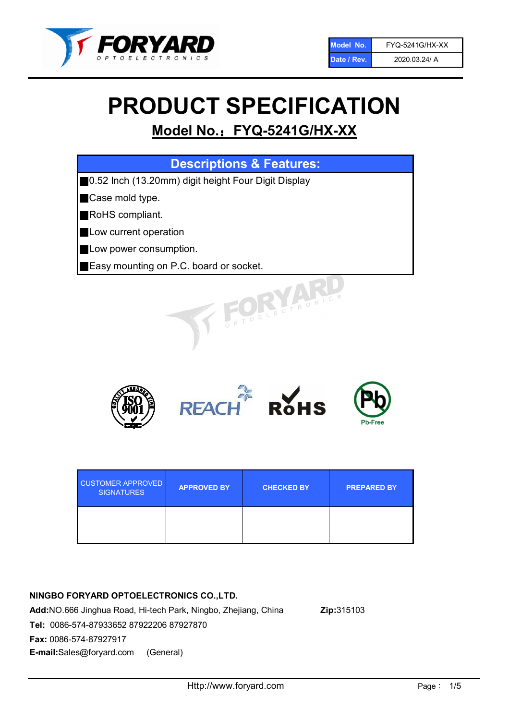

# PRODUCT SPECIFICATION

# Model No.: FYQ-5241G/HX-XX

| <b>Descriptions &amp; Features:</b>                  |
|------------------------------------------------------|
| ■0.52 Inch (13.20mm) digit height Four Digit Display |
| Case mold type.                                      |
| RoHS compliant.<br>Ш                                 |
| <b>Low current operation</b>                         |
| Low power consumption.                               |
| <b>Easy mounting on P.C. board or socket.</b>        |
| OELECTRONIC                                          |



| <b>CUSTOMER APPROVED</b><br><b>SIGNATURES</b> | <b>APPROVED BY</b> | <b>CHECKED BY</b> | <b>PREPARED BY</b> |
|-----------------------------------------------|--------------------|-------------------|--------------------|
|                                               |                    |                   |                    |

# NINGBO FORYARD OPTOELECTRONICS CO.,LTD.

Add:NO.666 Jinghua Road, Hi-tech Park, Ningbo, Zhejiang, China Zip:315103 Tel: 0086-574-87933652 87922206 87927870 Fax: 0086-574-87927917 E-mail:Sales@foryard.com (General)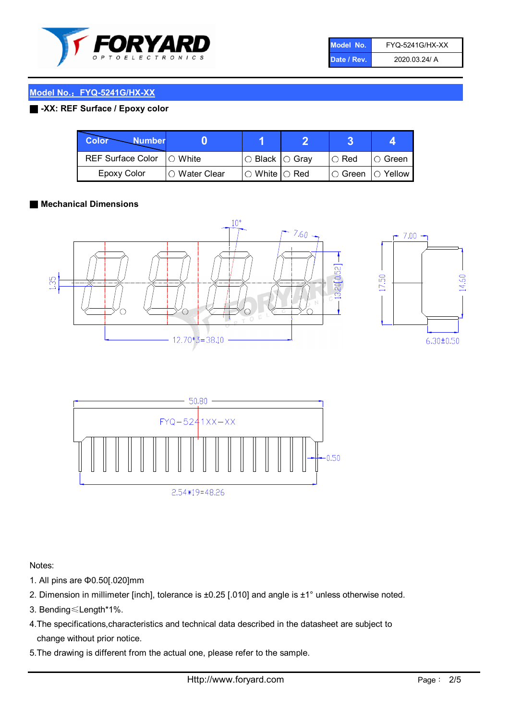

| Model No.   | <b>FYQ-5241G/HX-XX</b> |
|-------------|------------------------|
| Date / Rev. | 2020.03.24/ A          |

# Model No.: FYQ-5241G/HX-XX

## ■ -XX: REF Surface / Epoxy color

| <b>Color</b><br><b>Number</b> |               |                            |               |             |
|-------------------------------|---------------|----------------------------|---------------|-------------|
| <b>REF Surface Color</b>      | $\cap$ White  | $\circ$ Black $\circ$ Gray | $\circ$ Red   | IO Green    |
| <b>Epoxy Color</b>            | ○ Water Clear | $\circ$ White $\circ$ Red  | $\circ$ Green | $IO$ Yellow |

#### ■ Mechanical Dimensions







Notes:

- 1. All pins are Φ0.50[.020]mm
- 2. Dimension in millimeter [inch], tolerance is ±0.25 [.010] and angle is ±1° unless otherwise noted.
- 3. Bending≤Length\*1%.
- 4.The specifications,characteristics and technical data described in the datasheet are subject to change without prior notice.
- 5.The drawing is different from the actual one, please refer to the sample.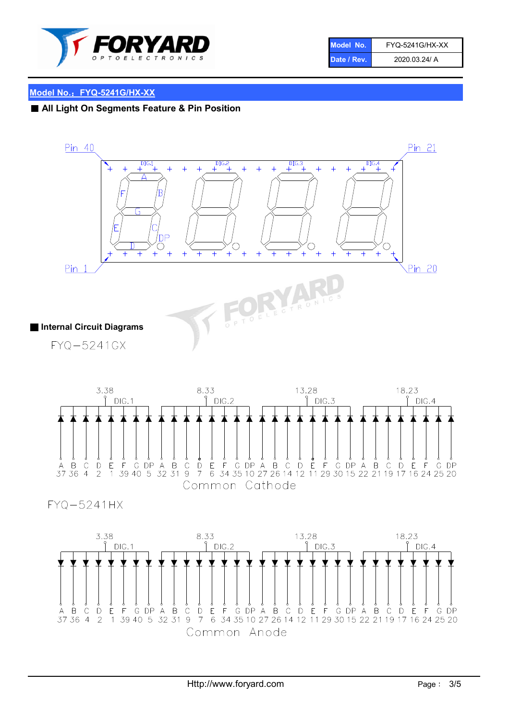

| Model No.'  | <b>FYQ-5241G/HX-XX</b> |
|-------------|------------------------|
| Date / Rev. | 2020.03.24/ A          |

#### Model No.: FYQ-5241G/HX-XX

#### ■ All Light On Segments Feature & Pin Position





**FYQ-5241HX** 

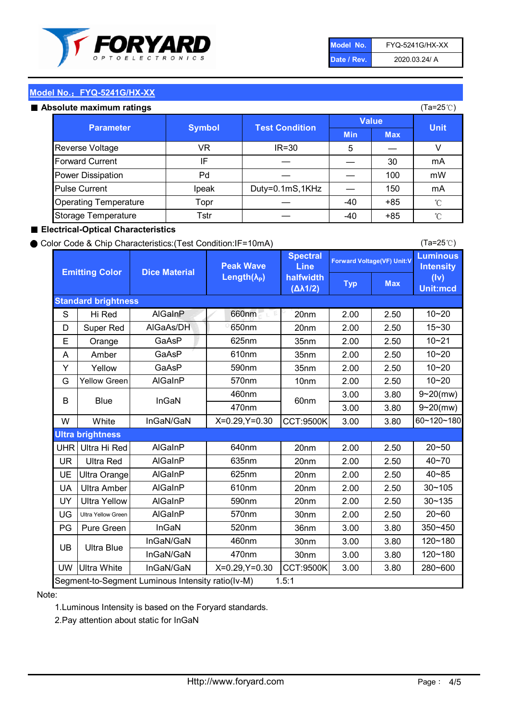

| Model No.   | <b>FYQ-5241G/HX-XX</b> |
|-------------|------------------------|
| Date / Rev. | 2020.03.24/ A          |

(Ta=25℃)

## Model No.: FYQ-5241G/HX-XX

#### Absolute maximum

| solute maximum ratings       |               |                       |              |            | (Ta=25℃)    |
|------------------------------|---------------|-----------------------|--------------|------------|-------------|
| <b>Parameter</b>             | <b>Symbol</b> | <b>Test Condition</b> | <b>Value</b> |            |             |
|                              |               |                       | <b>Min</b>   | <b>Max</b> | <b>Unit</b> |
| Reverse Voltage              | VR            | $IR = 30$             | 5            |            |             |
| <b>Forward Current</b>       | ΙF            |                       |              | 30         | mA          |
| Power Dissipation            | Pd            |                       |              | 100        | mW          |
| <b>Pulse Current</b>         | Ipeak         | Duty=0.1mS,1KHz       |              | 150        | mA          |
| <b>Operating Temperature</b> | Topr          |                       | $-40$        | $+85$      | °C          |
| Storage Temperature          | Tstr          |                       | $-40$        | $+85$      | °C          |

#### ■ Electrical-Optical Characteristics

#### ● Color Code & Chip Characteristics:(Test Condition:IF=10mA)

Typ Max S | Hi $\textsf{Red}$  | AlGaInP | 660nm LE 20nm | 2.00 | 2.50 D | Super Red | AIGaAs/DH | 650nm | 20nm | 2.00 | 2.50 E | Orange | GaAsP | 625nm | 35nm | 2.00 | 2.50 A | Amber | GaAsP | 610nm | 35nm | 2.00 | 2.50 Y | Yellow | GaAsP | 590nm | 35nm | 2.00 | 2.50 G Yellow Green AIGaInP | 570nm | 10nm | 2.00 | 2.50 3.00 3.80 3.00 3.80 W | White | InGaN/GaN | X=0.29,Y=0.30 |CCT:9500K| 3.00 | 3.80 UHR Ultra Hi Red | AlGaInP | 640nm | 20nm | 2.00 | 2.50 UR | Ultra Red | AlGaInP | 635nm | 20nm | 2.00 | 2.50 UE Ultra Orange | AIGaInP | 625nm | 20nm | 2.00 | 2.50 UA Ultra Amber | AIGaInP | 610nm | 20nm | 2.00 | 2.50  $UV$  Ultra Yellow  $\vert$  AlGaInP  $\vert$  590nm  $\vert$  20nm  $\vert$  2.00  $\vert$  2.50  $\text{UG}$  Ultra Yellow Green | AIGaInP | 570nm | 30nm | 2.00 | 2.50 PG Pure Green | InGaN | 520nm | 36nm | 3.00 | 3.80 30nm 3.00 3.80 30nm 3.00 3.80 UW |Ultra White | InGaN/GaN | X=0.29,Y=0.30 |CCT:9500K| 3.00 | 3.80 10~20 Standard brightness Forward Voltage(VF) Unit:V 15~30 10~20 10~20 625nm GaAsP 590nm **Emitting Color Dice Material** 10~21 610nm Luminous **Intensity** (Iv) Unit:mcd AlGainP 660nm GaAsP GaAsP AlGaAs/DH **Spectral** Line halfwidth (∆λ1/2) Peak Wave Length $(\lambda_{\rm P})$ UB 460nm 635nm AlGaInP AlGaInP AlGaInP InGaN/GaN AlGaInP | 570nm | 10nm | 2.00 | 2.50 | 10~20 30~105 30~135 460nm 520nm Ultra brightness **AlGaInP** AlGaInP 60nm AlGaInP 640nm Segment-to-Segment Luminous Intensity ratio(Iv-M) 1.5:1 610nm 9~20(mw) 350~450 470nm 120~180 120~180 Ultra Blue InGaN/GaN InGaN/GaN 9~20(mw) 20~50 280~600 570nm | 30nm | 2.00 | 2.50 | 20~60 470nm 590nm InGaN/GaN B Blue I InGaN 40~85 60~120~180 40~70

#### Note:

1.Luminous Intensity is based on the Foryard standards.

2.Pay attention about static for InGaN